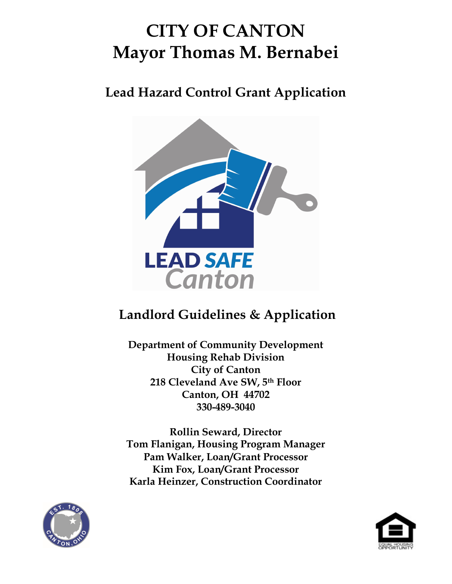# CITY OF CANTON Mayor Thomas M. Bernabei

Lead Hazard Control Grant Application



## Landlord Guidelines & Application

Department of Community Development Housing Rehab Division City of Canton 218 Cleveland Ave SW, 5th Floor Canton, OH 44702 330-489-3040

Rollin Seward, Director Tom Flanigan, Housing Program Manager Pam Walker, Loan/Grant Processor Kim Fox, Loan/Grant Processor Karla Heinzer, Construction Coordinator



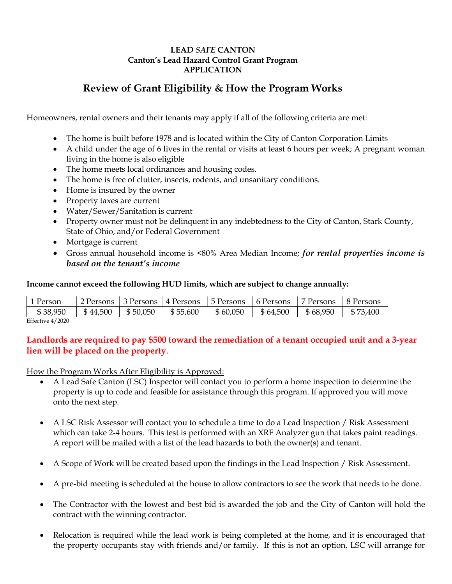#### LEAD SAFE CANTON Canton's Lead Hazard Control Grant Program APPLICATION

### Review of Grant Eligibility & How the Program Works

Homeowners, rental owners and their tenants may apply if all of the following criteria are met:

- The home is built before 1978 and is located within the City of Canton Corporation Limits
- A child under the age of 6 lives in the rental or visits at least 6 hours per week; A pregnant woman living in the home is also eligible
- The home meets local ordinances and housing codes.
- The home is free of clutter, insects, rodents, and unsanitary conditions.
- Home is insured by the owner
- Property taxes are current
- Water/Sewer/Sanitation is current
- Property owner must not be delinquent in any indebtedness to the City of Canton, Stark County, State of Ohio, and/or Federal Government
- Mortgage is current
- Gross annual household income is <80% Area Median Income; for rental properties income is based on the tenant's income

#### Income cannot exceed the following HUD limits, which are subject to change annually:

| 1 Person | 2 Persons | 3 Persons | 4 Persons | ⊢5 Persons | 6 Persons | Persons  | -8 Persons |
|----------|-----------|-----------|-----------|------------|-----------|----------|------------|
| \$38,950 | \$44,500  | \$50,050  | \$55,600  | \$60,050   | \$64,500  | \$68,950 | \$73,400   |

Effective 4/2020

#### Landlords are required to pay \$500 toward the remediation of a tenant occupied unit and a 3-year lien will be placed on the property.

How the Program Works After Eligibility is Approved:

- A Lead Safe Canton (LSC) Inspector will contact you to perform a home inspection to determine the property is up to code and feasible for assistance through this program. If approved you will move onto the next step.
- A LSC Risk Assessor will contact you to schedule a time to do a Lead Inspection / Risk Assessment which can take 2-4 hours. This test is performed with an XRF Analyzer gun that takes paint readings. A report will be mailed with a list of the lead hazards to both the owner(s) and tenant.
- A Scope of Work will be created based upon the findings in the Lead Inspection / Risk Assessment.
- A pre-bid meeting is scheduled at the house to allow contractors to see the work that needs to be done.
- The Contractor with the lowest and best bid is awarded the job and the City of Canton will hold the contract with the winning contractor.
- Relocation is required while the lead work is being completed at the home, and it is encouraged that the property occupants stay with friends and/or family. If this is not an option, LSC will arrange for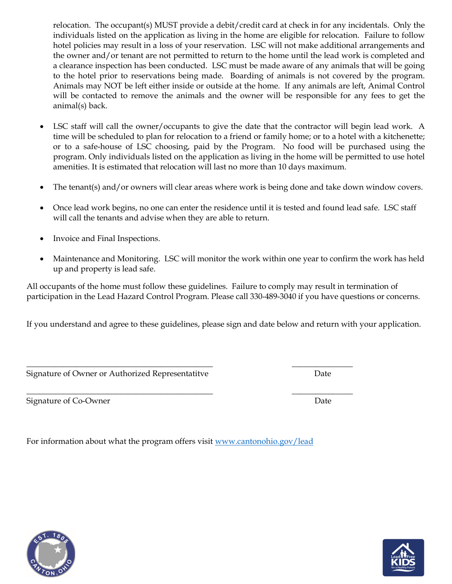relocation. The occupant(s) MUST provide a debit/credit card at check in for any incidentals. Only the individuals listed on the application as living in the home are eligible for relocation. Failure to follow hotel policies may result in a loss of your reservation. LSC will not make additional arrangements and the owner and/or tenant are not permitted to return to the home until the lead work is completed and a clearance inspection has been conducted. LSC must be made aware of any animals that will be going to the hotel prior to reservations being made. Boarding of animals is not covered by the program. Animals may NOT be left either inside or outside at the home. If any animals are left, Animal Control will be contacted to remove the animals and the owner will be responsible for any fees to get the animal(s) back.

- LSC staff will call the owner/occupants to give the date that the contractor will begin lead work. A time will be scheduled to plan for relocation to a friend or family home; or to a hotel with a kitchenette; or to a safe-house of LSC choosing, paid by the Program. No food will be purchased using the program. Only individuals listed on the application as living in the home will be permitted to use hotel amenities. It is estimated that relocation will last no more than 10 days maximum.
- The tenant(s) and/or owners will clear areas where work is being done and take down window covers.
- Once lead work begins, no one can enter the residence until it is tested and found lead safe. LSC staff will call the tenants and advise when they are able to return.
- Invoice and Final Inspections.
- Maintenance and Monitoring. LSC will monitor the work within one year to confirm the work has held up and property is lead safe.

All occupants of the home must follow these guidelines. Failure to comply may result in termination of participation in the Lead Hazard Control Program. Please call 330-489-3040 if you have questions or concerns.

If you understand and agree to these guidelines, please sign and date below and return with your application.

Signature of Owner or Authorized Representatitve **Date** Date

Signature of Co-Owner Date

For information about what the program offers visit www.cantonohio.gov/lead

\_\_\_\_\_\_\_\_\_\_\_\_\_\_\_\_\_\_\_\_\_\_\_\_\_\_\_\_\_\_\_\_\_\_\_\_\_\_\_\_\_\_\_\_\_\_ \_\_\_\_\_\_\_\_\_\_\_\_\_\_\_





\_\_\_\_\_\_\_\_\_\_\_\_\_\_\_\_\_\_\_\_\_\_\_\_\_\_\_\_\_\_\_\_\_\_\_\_\_\_\_\_\_\_\_\_\_\_ \_\_\_\_\_\_\_\_\_\_\_\_\_\_\_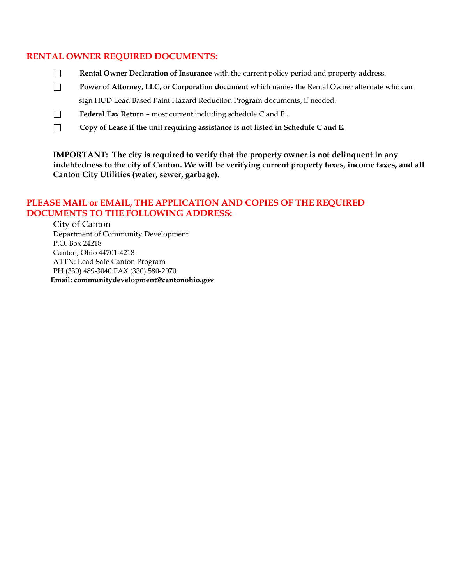#### RENTAL OWNER REQUIRED DOCUMENTS:

- $\Box$ Rental Owner Declaration of Insurance with the current policy period and property address.
- $\Box$ Power of Attorney, LLC, or Corporation document which names the Rental Owner alternate who can sign HUD Lead Based Paint Hazard Reduction Program documents, if needed.
- $\Box$ Federal Tax Return – most current including schedule C and E .
- $\Box$ Copy of Lease if the unit requiring assistance is not listed in Schedule C and E.

IMPORTANT: The city is required to verify that the property owner is not delinquent in any indebtedness to the city of Canton. We will be verifying current property taxes, income taxes, and all Canton City Utilities (water, sewer, garbage).

#### PLEASE MAIL or EMAIL, THE APPLICATION AND COPIES OF THE REQUIRED DOCUMENTS TO THE FOLLOWING ADDRESS:

City of Canton Department of Community Development P.O. Box 24218 Canton, Ohio 44701-4218 ATTN: Lead Safe Canton Program PH (330) 489-3040 FAX (330) 580-2070 Email: communitydevelopment@cantonohio.gov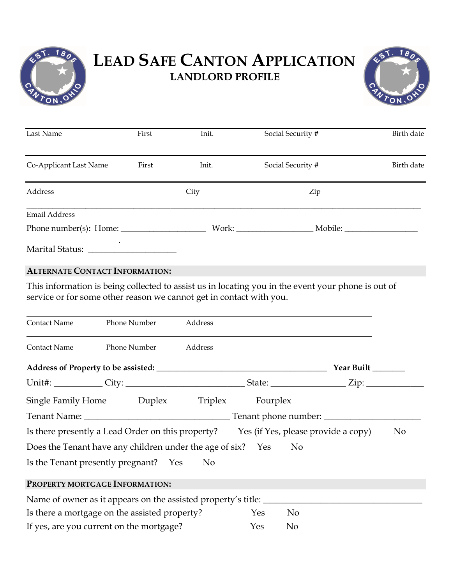

## LEAD SAFE CANTON APPLICATION LANDLORD PROFILE



| Last Name                       | First | Init. | Social Security # | Birth date |  |
|---------------------------------|-------|-------|-------------------|------------|--|
| Co-Applicant Last Name<br>First |       | Init. | Social Security # | Birth date |  |
| Address                         |       | City  | Zip               |            |  |
| <b>Email Address</b>            |       |       |                   |            |  |
|                                 |       |       | Work:             |            |  |
| Marital Status:                 |       |       |                   |            |  |

#### ALTERNATE CONTACT INFORMATION:

This information is being collected to assist us in locating you in the event your phone is out of service or for some other reason we cannot get in contact with you.

| Contact Name                                                                          | Phone Number                               | Address |  |                                                                                                                |  |  |
|---------------------------------------------------------------------------------------|--------------------------------------------|---------|--|----------------------------------------------------------------------------------------------------------------|--|--|
| Contact Name                                                                          | Phone Number                               | Address |  |                                                                                                                |  |  |
| Year Built                                                                            |                                            |         |  |                                                                                                                |  |  |
|                                                                                       |                                            |         |  | Unit#: ____________City: ___________________________________State: _____________________Zip: _________________ |  |  |
|                                                                                       | Single Family Home Duplex Triplex Fourplex |         |  |                                                                                                                |  |  |
|                                                                                       |                                            |         |  |                                                                                                                |  |  |
| Is there presently a Lead Order on this property? Yes (if Yes, please provide a copy) |                                            |         |  | N <sub>0</sub>                                                                                                 |  |  |
| Does the Tenant have any children under the age of six? Yes No                        |                                            |         |  |                                                                                                                |  |  |
| Is the Tenant presently pregnant? Yes No                                              |                                            |         |  |                                                                                                                |  |  |
| PROPERTY MORTGAGE INFORMATION:                                                        |                                            |         |  |                                                                                                                |  |  |
|                                                                                       |                                            |         |  |                                                                                                                |  |  |
| Is there a mortgage on the assisted property?<br>N <sub>o</sub><br>Yes                |                                            |         |  |                                                                                                                |  |  |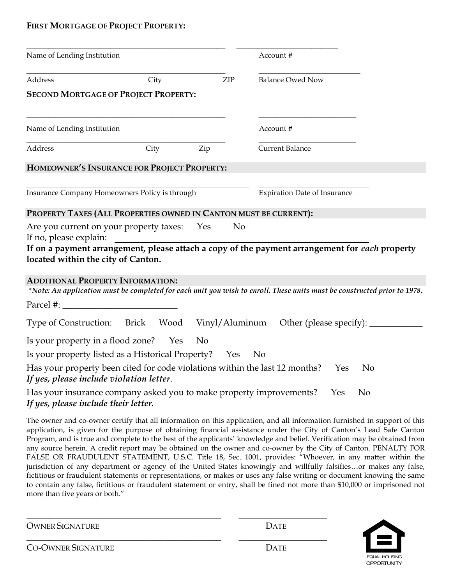#### FIRST MORTGAGE OF PROJECT PROPERTY:

| Name of Lending Institution                                                                                                                                                                                                                                                                                                                                                                                                                                                                                                                                                                                                                                                                                                                                                                                                                                                                                                                                                                                                 |      |     |                | Account #                                                                                                                |                |
|-----------------------------------------------------------------------------------------------------------------------------------------------------------------------------------------------------------------------------------------------------------------------------------------------------------------------------------------------------------------------------------------------------------------------------------------------------------------------------------------------------------------------------------------------------------------------------------------------------------------------------------------------------------------------------------------------------------------------------------------------------------------------------------------------------------------------------------------------------------------------------------------------------------------------------------------------------------------------------------------------------------------------------|------|-----|----------------|--------------------------------------------------------------------------------------------------------------------------|----------------|
| Address                                                                                                                                                                                                                                                                                                                                                                                                                                                                                                                                                                                                                                                                                                                                                                                                                                                                                                                                                                                                                     | City |     | ${\sf ZIP}$    | <b>Balance Owed Now</b>                                                                                                  |                |
| <b>SECOND MORTGAGE OF PROJECT PROPERTY:</b>                                                                                                                                                                                                                                                                                                                                                                                                                                                                                                                                                                                                                                                                                                                                                                                                                                                                                                                                                                                 |      |     |                |                                                                                                                          |                |
| Name of Lending Institution                                                                                                                                                                                                                                                                                                                                                                                                                                                                                                                                                                                                                                                                                                                                                                                                                                                                                                                                                                                                 |      |     |                | Account #                                                                                                                |                |
| Address                                                                                                                                                                                                                                                                                                                                                                                                                                                                                                                                                                                                                                                                                                                                                                                                                                                                                                                                                                                                                     | City | Zip |                | <b>Current Balance</b>                                                                                                   |                |
| HOMEOWNER'S INSURANCE FOR PROJECT PROPERTY:                                                                                                                                                                                                                                                                                                                                                                                                                                                                                                                                                                                                                                                                                                                                                                                                                                                                                                                                                                                 |      |     |                |                                                                                                                          |                |
| Insurance Company Homeowners Policy is through                                                                                                                                                                                                                                                                                                                                                                                                                                                                                                                                                                                                                                                                                                                                                                                                                                                                                                                                                                              |      |     |                | <b>Expiration Date of Insurance</b>                                                                                      |                |
| PROPERTY TAXES (ALL PROPERTIES OWNED IN CANTON MUST BE CURRENT):                                                                                                                                                                                                                                                                                                                                                                                                                                                                                                                                                                                                                                                                                                                                                                                                                                                                                                                                                            |      |     |                |                                                                                                                          |                |
| Are you current on your property taxes: Yes<br>If no, please explain:                                                                                                                                                                                                                                                                                                                                                                                                                                                                                                                                                                                                                                                                                                                                                                                                                                                                                                                                                       |      |     | N <sub>o</sub> |                                                                                                                          |                |
| If on a payment arrangement, please attach a copy of the payment arrangement for each property<br>located within the city of Canton.                                                                                                                                                                                                                                                                                                                                                                                                                                                                                                                                                                                                                                                                                                                                                                                                                                                                                        |      |     |                |                                                                                                                          |                |
| <b>ADDITIONAL PROPERTY INFORMATION:</b>                                                                                                                                                                                                                                                                                                                                                                                                                                                                                                                                                                                                                                                                                                                                                                                                                                                                                                                                                                                     |      |     |                | *Note: An application must be completed for each unit you wish to enroll. These units must be constructed prior to 1978. |                |
| $\text{Parcel } \#:$                                                                                                                                                                                                                                                                                                                                                                                                                                                                                                                                                                                                                                                                                                                                                                                                                                                                                                                                                                                                        |      |     |                |                                                                                                                          |                |
| Type of Construction: Brick Wood Vinyl/Aluminum Other (please specify): _________                                                                                                                                                                                                                                                                                                                                                                                                                                                                                                                                                                                                                                                                                                                                                                                                                                                                                                                                           |      |     |                |                                                                                                                          |                |
| Is your property in a flood zone? Yes                                                                                                                                                                                                                                                                                                                                                                                                                                                                                                                                                                                                                                                                                                                                                                                                                                                                                                                                                                                       |      | No. |                |                                                                                                                          |                |
| Is your property listed as a Historical Property? Yes No                                                                                                                                                                                                                                                                                                                                                                                                                                                                                                                                                                                                                                                                                                                                                                                                                                                                                                                                                                    |      |     |                |                                                                                                                          |                |
| Has your property been cited for code violations within the last 12 months?<br>If yes, please include violation letter.                                                                                                                                                                                                                                                                                                                                                                                                                                                                                                                                                                                                                                                                                                                                                                                                                                                                                                     |      |     |                |                                                                                                                          | Yes<br>No.     |
| Has your insurance company asked you to make property improvements?<br>If yes, please include their letter.                                                                                                                                                                                                                                                                                                                                                                                                                                                                                                                                                                                                                                                                                                                                                                                                                                                                                                                 |      |     |                | Yes                                                                                                                      | N <sub>0</sub> |
| The owner and co-owner certify that all information on this application, and all information furnished in support of this<br>application, is given for the purpose of obtaining financial assistance under the City of Canton's Lead Safe Canton<br>Program, and is true and complete to the best of the applicants' knowledge and belief. Verification may be obtained from<br>any source herein. A credit report may be obtained on the owner and co-owner by the City of Canton. PENALTY FOR<br>FALSE OR FRAUDULENT STATEMENT, U.S.C. Title 18, Sec. 1001, provides: "Whoever, in any matter within the<br>jurisdiction of any department or agency of the United States knowingly and willfully falsifiesor makes any false,<br>fictitious or fraudulent statements or representations, or makes or uses any false writing or document knowing the same<br>to contain any false, fictitious or fraudulent statement or entry, shall be fined not more than \$10,000 or imprisoned not<br>more than five years or both." |      |     |                |                                                                                                                          |                |
|                                                                                                                                                                                                                                                                                                                                                                                                                                                                                                                                                                                                                                                                                                                                                                                                                                                                                                                                                                                                                             |      |     |                | <b>DATE</b>                                                                                                              |                |
| <b>OWNER SIGNATURE</b>                                                                                                                                                                                                                                                                                                                                                                                                                                                                                                                                                                                                                                                                                                                                                                                                                                                                                                                                                                                                      |      |     |                |                                                                                                                          |                |
| <b>CO-OWNER SIGNATURE</b>                                                                                                                                                                                                                                                                                                                                                                                                                                                                                                                                                                                                                                                                                                                                                                                                                                                                                                                                                                                                   |      |     |                | <b>DATE</b>                                                                                                              |                |

| <b>OWNER SIGNATURE</b>    | <b>DATE</b> |
|---------------------------|-------------|
| <b>CO-OWNER SIGNATURE</b> | <b>DATE</b> |

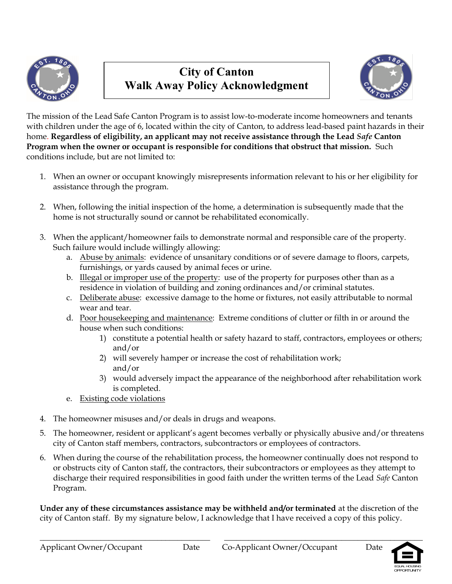

## City of Canton Walk Away Policy Acknowledgment



The mission of the Lead Safe Canton Program is to assist low-to-moderate income homeowners and tenants with children under the age of 6, located within the city of Canton, to address lead-based paint hazards in their home. Regardless of eligibility, an applicant may not receive assistance through the Lead Safe Canton Program when the owner or occupant is responsible for conditions that obstruct that mission. Such conditions include, but are not limited to:

- 1. When an owner or occupant knowingly misrepresents information relevant to his or her eligibility for assistance through the program.
- 2. When, following the initial inspection of the home, a determination is subsequently made that the home is not structurally sound or cannot be rehabilitated economically.
- 3. When the applicant/homeowner fails to demonstrate normal and responsible care of the property. Such failure would include willingly allowing:
	- a. Abuse by animals: evidence of unsanitary conditions or of severe damage to floors, carpets, furnishings, or yards caused by animal feces or urine.
	- b. Illegal or improper use of the property: use of the property for purposes other than as a residence in violation of building and zoning ordinances and/or criminal statutes.
	- c. Deliberate abuse: excessive damage to the home or fixtures, not easily attributable to normal wear and tear.
	- d. Poor housekeeping and maintenance: Extreme conditions of clutter or filth in or around the house when such conditions:
		- 1) constitute a potential health or safety hazard to staff, contractors, employees or others; and/or
		- 2) will severely hamper or increase the cost of rehabilitation work; and/or
		- 3) would adversely impact the appearance of the neighborhood after rehabilitation work is completed.
	- e. Existing code violations
- 4. The homeowner misuses and/or deals in drugs and weapons.
- 5. The homeowner, resident or applicant's agent becomes verbally or physically abusive and/or threatens city of Canton staff members, contractors, subcontractors or employees of contractors.
- 6. When during the course of the rehabilitation process, the homeowner continually does not respond to or obstructs city of Canton staff, the contractors, their subcontractors or employees as they attempt to discharge their required responsibilities in good faith under the written terms of the Lead Safe Canton Program.

Under any of these circumstances assistance may be withheld and/or terminated at the discretion of the city of Canton staff. By my signature below, I acknowledge that I have received a copy of this policy.

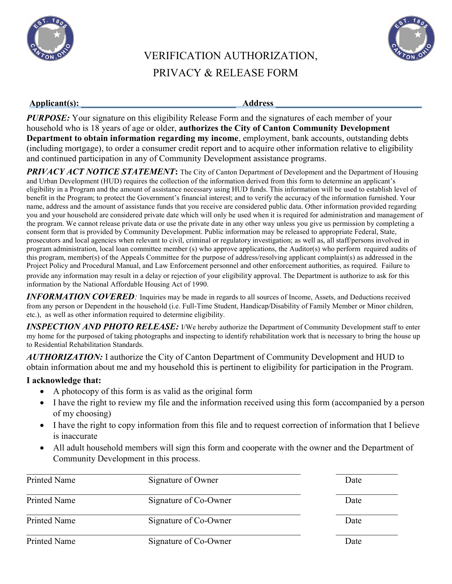



## VERIFICATION AUTHORIZATION, PRIVACY & RELEASE FORM

## Applicant(s): \_\_\_\_\_\_\_\_\_\_\_\_\_\_\_\_\_\_\_\_\_\_\_\_\_\_\_\_\_\_\_\_\_\_\_ Address \_\_\_\_\_\_\_\_\_\_\_\_\_\_\_\_\_\_\_\_\_\_\_\_\_\_\_\_\_\_\_\_\_

**PURPOSE:** Your signature on this eligibility Release Form and the signatures of each member of your household who is 18 years of age or older, authorizes the City of Canton Community Development Department to obtain information regarding my income, employment, bank accounts, outstanding debts (including mortgage), to order a consumer credit report and to acquire other information relative to eligibility and continued participation in any of Community Development assistance programs.

**PRIVACY ACT NOTICE STATEMENT:** The City of Canton Department of Development and the Department of Housing and Urban Development (HUD) requires the collection of the information derived from this form to determine an applicant's eligibility in a Program and the amount of assistance necessary using HUD funds. This information will be used to establish level of benefit in the Program; to protect the Government's financial interest; and to verify the accuracy of the information furnished. Your name, address and the amount of assistance funds that you receive are considered public data. Other information provided regarding you and your household are considered private date which will only be used when it is required for administration and management of the program. We cannot release private data or use the private date in any other way unless you give us permission by completing a consent form that is provided by Community Development. Public information may be released to appropriate Federal, State, prosecutors and local agencies when relevant to civil, criminal or regulatory investigation; as well as, all staff/persons involved in program administration, local loan committee member (s) who approve applications, the Auditor(s) who perform required audits of this program, member(s) of the Appeals Committee for the purpose of address/resolving applicant complaint(s) as addressed in the Project Policy and Procedural Manual, and Law Enforcement personnel and other enforcement authorities, as required. Failure to provide any information may result in a delay or rejection of your eligibility approval. The Department is authorize to ask for this information by the National Affordable Housing Act of 1990.

**INFORMATION COVERED**: Inquiries may be made in regards to all sources of Income, Assets, and Deductions received from any person or Dependent in the household (i.e. Full-Time Student, Handicap/Disability of Family Member or Minor children, etc.), as well as other information required to determine eligibility.

**INSPECTION AND PHOTO RELEASE:** I/We hereby authorize the Department of Community Development staff to enter my home for the purposed of taking photographs and inspecting to identify rehabilitation work that is necessary to bring the house up to Residential Rehabilitation Standards.

AUTHORIZATION: I authorize the City of Canton Department of Community Development and HUD to obtain information about me and my household this is pertinent to eligibility for participation in the Program.

#### I acknowledge that:

- A photocopy of this form is as valid as the original form
- I have the right to review my file and the information received using this form (accompanied by a person of my choosing)
- I have the right to copy information from this file and to request correction of information that I believe is inaccurate
- All adult household members will sign this form and cooperate with the owner and the Department of Community Development in this process.

| Printed Name        | Signature of Owner    | Date |
|---------------------|-----------------------|------|
| Printed Name        | Signature of Co-Owner | Date |
| Printed Name        | Signature of Co-Owner | Date |
| <b>Printed Name</b> | Signature of Co-Owner | Date |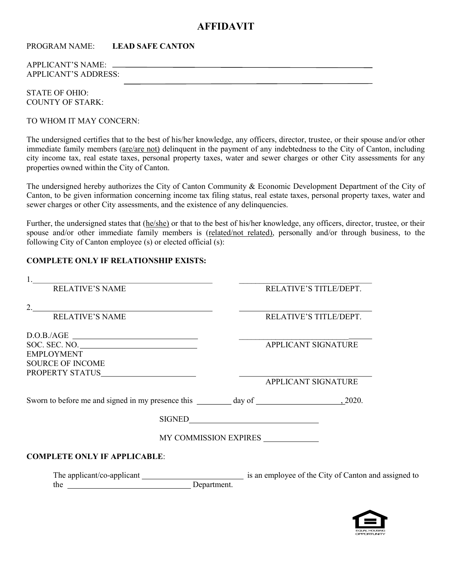#### AFFIDAVIT

PROGRAM NAME: LEAD SAFE CANTON

APPLICANT'S NAME: APPLICANT'S ADDRESS:

STATE OF OHIO: COUNTY OF STARK:

TO WHOM IT MAY CONCERN:

The undersigned certifies that to the best of his/her knowledge, any officers, director, trustee, or their spouse and/or other immediate family members (are/are not) delinquent in the payment of any indebtedness to the City of Canton, including city income tax, real estate taxes, personal property taxes, water and sewer charges or other City assessments for any properties owned within the City of Canton.

The undersigned hereby authorizes the City of Canton Community & Economic Development Department of the City of Canton, to be given information concerning income tax filing status, real estate taxes, personal property taxes, water and sewer charges or other City assessments, and the existence of any delinquencies.

Further, the undersigned states that (he/she) or that to the best of his/her knowledge, any officers, director, trustee, or their spouse and/or other immediate family members is (related/not related), personally and/or through business, to the following City of Canton employee (s) or elected official (s):

#### COMPLETE ONLY IF RELATIONSHIP EXISTS:

| <u> 1989 - Johann Stein, marwolaethau a bhann an t-Amhainn an t-Amhainn an t-Amhainn an t-Amhainn an t-Amhainn an</u> |                                      |
|-----------------------------------------------------------------------------------------------------------------------|--------------------------------------|
| <b>RELATIVE'S NAME</b>                                                                                                | RELATIVE'S TITLE/DEPT.               |
|                                                                                                                       |                                      |
| <b>RELATIVE'S NAME</b>                                                                                                |                                      |
|                                                                                                                       | RELATIVE'S TITLE/DEPT.               |
| $\text{D.O.B./AGE} \_\text{\textit{max}}$                                                                             | <u> 1986 - Jan Jan Jawa</u>          |
| SOC. SEC. NO.                                                                                                         | APPLICANT SIGNATURE                  |
| <b>EMPLOYMENT</b>                                                                                                     |                                      |
| <b>SOURCE OF INCOME</b>                                                                                               |                                      |
|                                                                                                                       |                                      |
|                                                                                                                       | APPLICANT SIGNATURE                  |
|                                                                                                                       |                                      |
|                                                                                                                       |                                      |
|                                                                                                                       |                                      |
|                                                                                                                       |                                      |
|                                                                                                                       | MY COMMISSION EXPIRES ______________ |
| <b>COMPLETE ONLY IF APPLICABLE:</b>                                                                                   |                                      |
|                                                                                                                       |                                      |
| the Department.                                                                                                       |                                      |
|                                                                                                                       |                                      |
|                                                                                                                       |                                      |